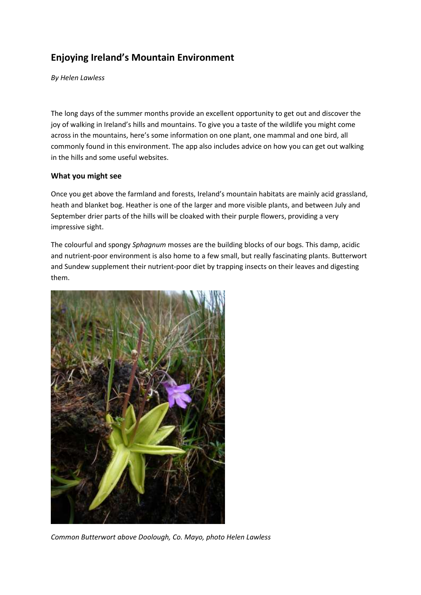# **Enjoying Ireland's Mountain Environment**

*By Helen Lawless*

The long days of the summer months provide an excellent opportunity to get out and discover the joy of walking in Ireland's hills and mountains. To give you a taste of the wildlife you might come across in the mountains, here's some information on one plant, one mammal and one bird, all commonly found in this environment. The app also includes advice on how you can get out walking in the hills and some useful websites.

## **What you might see**

Once you get above the farmland and forests, Ireland's mountain habitats are mainly acid grassland, heath and blanket bog. Heather is one of the larger and more visible plants, and between July and September drier parts of the hills will be cloaked with their purple flowers, providing a very impressive sight.

The colourful and spongy *Sphagnum* mosses are the building blocks of our bogs. This damp, acidic and nutrient-poor environment is also home to a few small, but really fascinating plants. Butterwort and Sundew supplement their nutrient-poor diet by trapping insects on their leaves and digesting them.



*Common Butterwort above Doolough, Co. Mayo, photo Helen Lawless*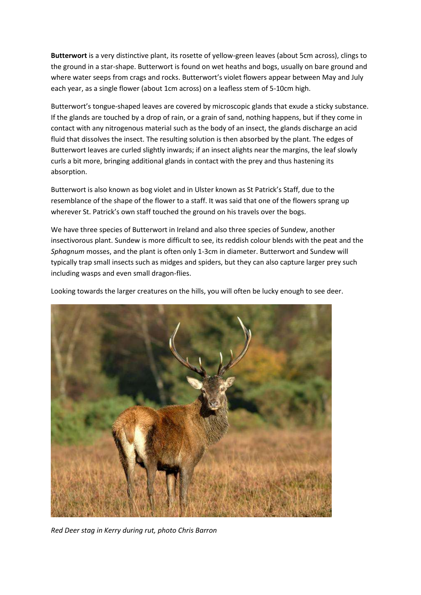**Butterwort** is a very distinctive plant, its rosette of yellow-green leaves (about 5cm across), clings to the ground in a star-shape. Butterwort is found on wet heaths and bogs, usually on bare ground and where water seeps from crags and rocks. Butterwort's violet flowers appear between May and July each year, as a single flower (about 1cm across) on a leafless stem of 5-10cm high.

Butterwort's tongue-shaped leaves are covered by microscopic glands that exude a sticky substance. If the glands are touched by a drop of rain, or a grain of sand, nothing happens, but if they come in contact with any nitrogenous material such as the body of an insect, the glands discharge an acid fluid that dissolves the insect. The resulting solution is then absorbed by the plant. The edges of Butterwort leaves are curled slightly inwards; if an insect alights near the margins, the leaf slowly curls a bit more, bringing additional glands in contact with the prey and thus hastening its absorption.

Butterwort is also known as bog violet and in Ulster known as St Patrick's Staff, due to the resemblance of the shape of the flower to a staff. It was said that one of the flowers sprang up wherever St. Patrick's own staff touched the ground on his travels over the bogs.

We have three species of Butterwort in Ireland and also three species of Sundew, another insectivorous plant. Sundew is more difficult to see, its reddish colour blends with the peat and the *Sphagnum* mosses, and the plant is often only 1-3cm in diameter. Butterwort and Sundew will typically trap small insects such as midges and spiders, but they can also capture larger prey such including wasps and even small dragon-flies.

Looking towards the larger creatures on the hills, you will often be lucky enough to see deer.



*Red Deer stag in Kerry during rut, photo Chris Barron*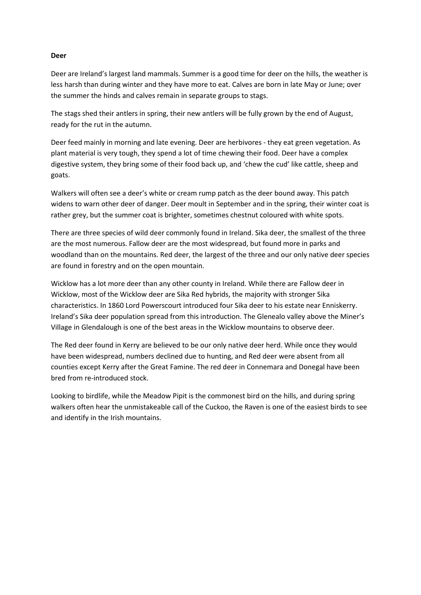#### **Deer**

Deer are Ireland's largest land mammals. Summer is a good time for deer on the hills, the weather is less harsh than during winter and they have more to eat. Calves are born in late May or June; over the summer the hinds and calves remain in separate groups to stags.

The stags shed their antlers in spring, their new antlers will be fully grown by the end of August, ready for the rut in the autumn.

Deer feed mainly in morning and late evening. Deer are herbivores - they eat green vegetation. As plant material is very tough, they spend a lot of time chewing their food. Deer have a complex digestive system, they bring some of their food back up, and 'chew the cud' like cattle, sheep and goats.

Walkers will often see a deer's white or cream rump patch as the deer bound away. This patch widens to warn other deer of danger. Deer moult in September and in the spring, their winter coat is rather grey, but the summer coat is brighter, sometimes chestnut coloured with white spots.

There are three species of wild deer commonly found in Ireland. Sika deer, the smallest of the three are the most numerous. Fallow deer are the most widespread, but found more in parks and woodland than on the mountains. Red deer, the largest of the three and our only native deer species are found in forestry and on the open mountain.

Wicklow has a lot more deer than any other county in Ireland. While there are Fallow deer in Wicklow, most of the Wicklow deer are Sika Red hybrids, the majority with stronger Sika characteristics. In 1860 Lord Powerscourt introduced four Sika deer to his estate near Enniskerry. Ireland's Sika deer population spread from this introduction. The Glenealo valley above the Miner's Village in Glendalough is one of the best areas in the Wicklow mountains to observe deer.

The Red deer found in Kerry are believed to be our only native deer herd. While once they would have been widespread, numbers declined due to hunting, and Red deer were absent from all counties except Kerry after the Great Famine. The red deer in Connemara and Donegal have been bred from re-introduced stock.

Looking to birdlife, while the Meadow Pipit is the commonest bird on the hills, and during spring walkers often hear the unmistakeable call of the Cuckoo, the Raven is one of the easiest birds to see and identify in the Irish mountains.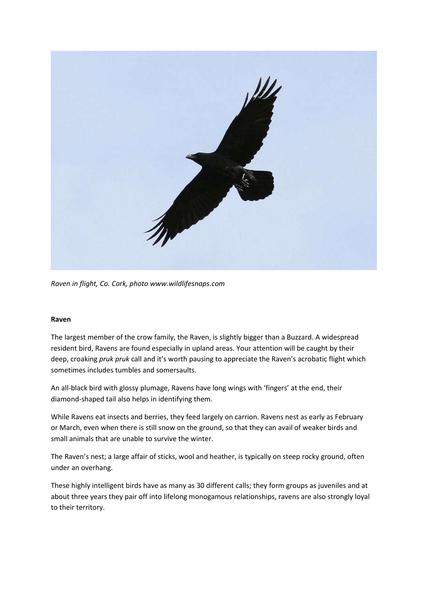

*Raven in flight, Co. Cork, photo www.wildlifesnaps.com*

#### **Raven**

The largest member of the crow family, the Raven, is slightly bigger than a Buzzard. A widespread resident bird, Ravens are found especially in upland areas. Your attention will be caught by their deep, croaking *pruk pruk* call and it's worth pausing to appreciate the Raven's acrobatic flight which sometimes includes tumbles and somersaults.

An all-black bird with glossy plumage, Ravens have long wings with 'fingers' at the end, their diamond-shaped tail also helps in identifying them.

While Ravens eat insects and berries, they feed largely on carrion. Ravens nest as early as February or March, even when there is still snow on the ground, so that they can avail of weaker birds and small animals that are unable to survive the winter.

The Raven's nest; a large affair of sticks, wool and heather, is typically on steep rocky ground, often under an overhang.

These highly intelligent birds have as many as 30 different calls; they form groups as juveniles and at about three years they pair off into lifelong monogamous relationships, ravens are also strongly loyal to their territory.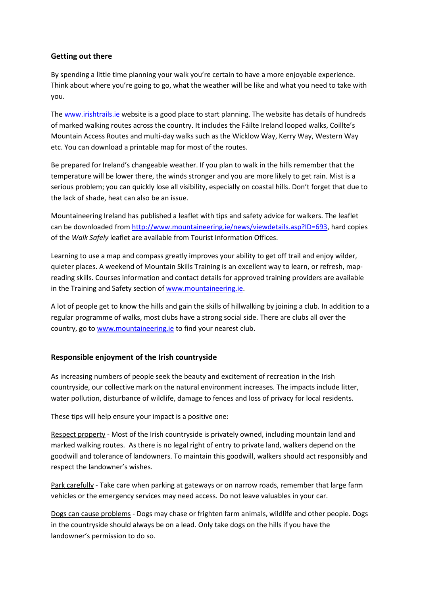### **Getting out there**

By spending a little time planning your walk you're certain to have a more enjoyable experience. Think about where you're going to go, what the weather will be like and what you need to take with you.

The [www.irishtrails.ie](http://www.irishtrails.ie/) website is a good place to start planning. The website has details of hundreds of marked walking routes across the country. It includes the Fáilte Ireland looped walks, Coillte's Mountain Access Routes and multi-day walks such as the Wicklow Way, Kerry Way, Western Way etc. You can download a printable map for most of the routes.

Be prepared for Ireland's changeable weather. If you plan to walk in the hills remember that the temperature will be lower there, the winds stronger and you are more likely to get rain. Mist is a serious problem; you can quickly lose all visibility, especially on coastal hills. Don't forget that due to the lack of shade, heat can also be an issue.

Mountaineering Ireland has published a leaflet with tips and safety advice for walkers. The leaflet can be downloaded fro[m http://www.mountaineering.ie/news/viewdetails.asp?ID=693,](http://www.mountaineering.ie/news/viewdetails.asp?ID=693) hard copies of the *Walk Safely* leaflet are available from Tourist Information Offices.

Learning to use a map and compass greatly improves your ability to get off trail and enjoy wilder, quieter places. A weekend of Mountain Skills Training is an excellent way to learn, or refresh, mapreading skills. Courses information and contact details for approved training providers are available in the Training and Safety section of [www.mountaineering.ie.](http://www.mountaineering.ie/)

A lot of people get to know the hills and gain the skills of hillwalking by joining a club. In addition to a regular programme of walks, most clubs have a strong social side. There are clubs all over the country, go to [www.mountaineering.ie](http://www.mountaineering.ie/) to find your nearest club.

## **Responsible enjoyment of the Irish countryside**

As increasing numbers of people seek the beauty and excitement of recreation in the Irish countryside, our collective mark on the natural environment increases. The impacts include litter, water pollution, disturbance of wildlife, damage to fences and loss of privacy for local residents.

These tips will help ensure your impact is a positive one:

Respect property - Most of the Irish countryside is privately owned, including mountain land and marked walking routes. As there is no legal right of entry to private land, walkers depend on the goodwill and tolerance of landowners. To maintain this goodwill, walkers should act responsibly and respect the landowner's wishes.

Park carefully - Take care when parking at gateways or on narrow roads, remember that large farm vehicles or the emergency services may need access. Do not leave valuables in your car.

Dogs can cause problems - Dogs may chase or frighten farm animals, wildlife and other people. Dogs in the countryside should always be on a lead. Only take dogs on the hills if you have the landowner's permission to do so.